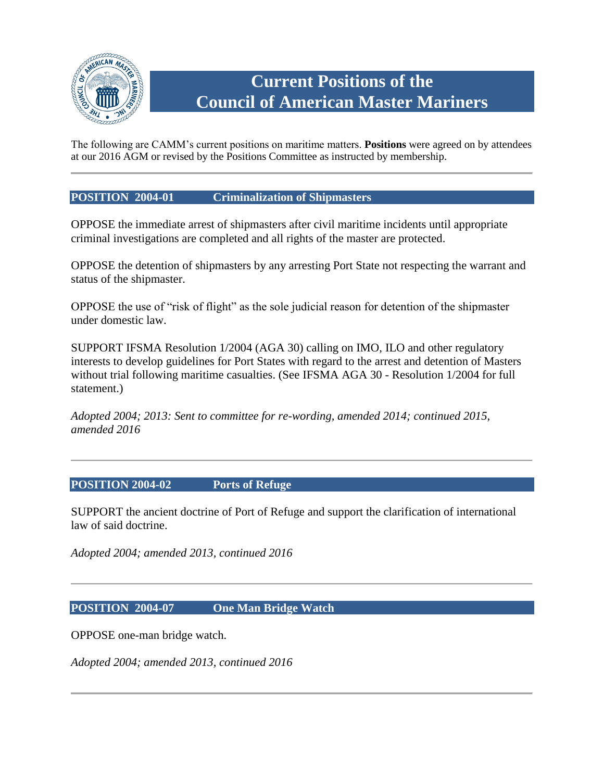

# **Current Positions of the Council of American Master Mariners**

The following are CAMM's current positions on maritime matters. **Positions** were agreed on by attendees at our 2016 AGM or revised by the Positions Committee as instructed by membership.

## **POSITION 2004-01 Criminalization of Shipmasters**

OPPOSE the immediate arrest of shipmasters after civil maritime incidents until appropriate criminal investigations are completed and all rights of the master are protected.

OPPOSE the detention of shipmasters by any arresting Port State not respecting the warrant and status of the shipmaster.

OPPOSE the use of "risk of flight" as the sole judicial reason for detention of the shipmaster under domestic law.

SUPPORT IFSMA Resolution 1/2004 (AGA 30) calling on IMO, ILO and other regulatory interests to develop guidelines for Port States with regard to the arrest and detention of Masters without trial following maritime casualties. (See IFSMA AGA 30 - Resolution 1/2004 for full statement.)

*Adopted 2004; 2013: Sent to committee for re-wording, amended 2014; continued 2015, amended 2016*

#### **POSITION 2004-02 Ports of Refuge**

SUPPORT the ancient doctrine of Port of Refuge and support the clarification of international law of said doctrine.

*Adopted 2004; amended 2013, continued 2016*

## **POSITION 2004-07 One Man Bridge Watch**

OPPOSE one-man bridge watch.

*Adopted 2004; amended 2013, continued 2016*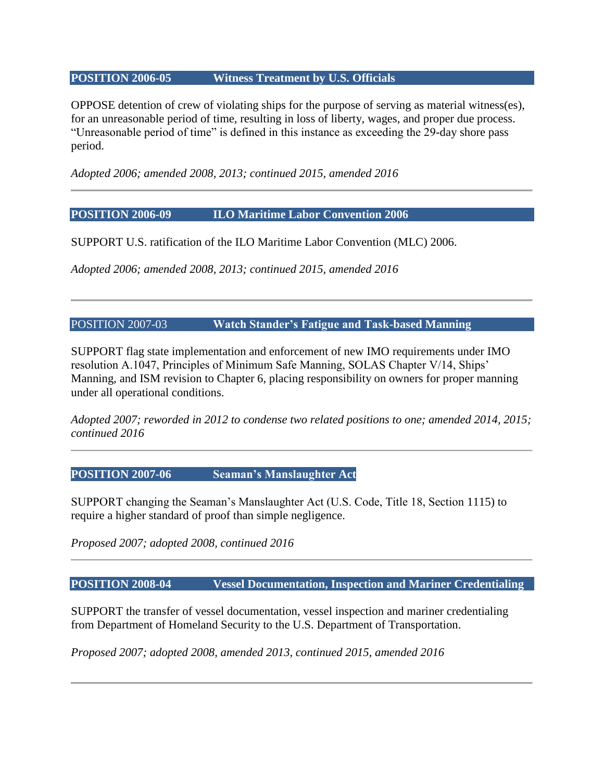#### **POSITION 2006-05 Witness Treatment by U.S. Officials**

OPPOSE detention of crew of violating ships for the purpose of serving as material witness(es), for an unreasonable period of time, resulting in loss of liberty, wages, and proper due process. "Unreasonable period of time" is defined in this instance as exceeding the 29-day shore pass period.

*Adopted 2006; amended 2008, 2013; continued 2015, amended 2016*

#### **POSITION 2006-09 ILO Maritime Labor Convention 2006**

SUPPORT U.S. ratification of the ILO Maritime Labor Convention (MLC) 2006.

*Adopted 2006; amended 2008, 2013; continued 2015, amended 2016*

POSITION 2007-03 **Watch Stander's Fatigue and Task-based Manning**

SUPPORT flag state implementation and enforcement of new IMO requirements under IMO resolution A.1047, Principles of Minimum Safe Manning, SOLAS Chapter V/14, Ships' Manning, and ISM revision to Chapter 6, placing responsibility on owners for proper manning under all operational conditions.

*Adopted 2007; reworded in 2012 to condense two related positions to one; amended 2014, 2015; continued 2016*

# **POSITION 2007-06 Seaman's Manslaughter Act**

SUPPORT changing the Seaman's Manslaughter Act (U.S. Code, Title 18, Section 1115) to require a higher standard of proof than simple negligence.

*Proposed 2007; adopted 2008, continued 2016*

**POSITION 2008-04 Vessel Documentation, Inspection and Mariner Credentialing**

SUPPORT the transfer of vessel documentation, vessel inspection and mariner credentialing from Department of Homeland Security to the U.S. Department of Transportation.

*Proposed 2007; adopted 2008, amended 2013, continued 2015, amended 2016*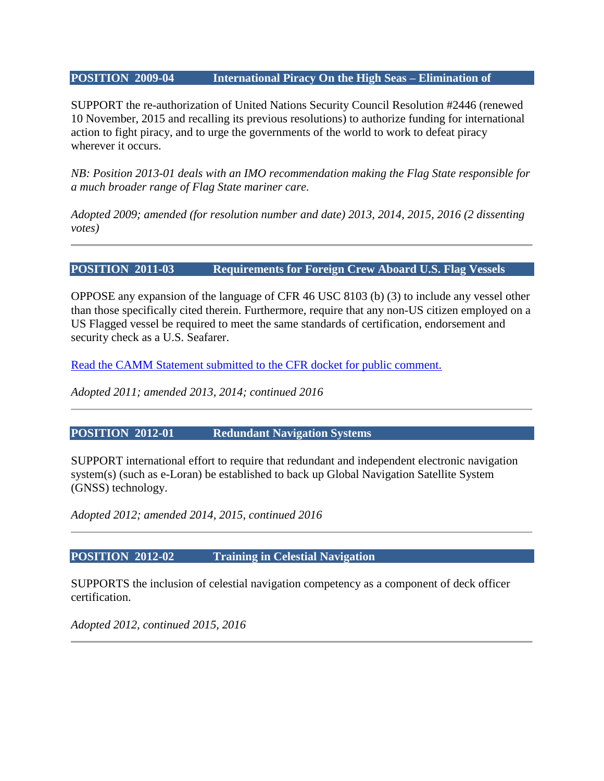#### **POSITION 2009-04 International Piracy On the High Seas – Elimination of**

SUPPORT the re-authorization of United Nations Security Council Resolution #2446 (renewed 10 November, 2015 and recalling its previous resolutions) to authorize funding for international action to fight piracy, and to urge the governments of the world to work to defeat piracy wherever it occurs.

*NB: Position 2013-01 deals with an IMO recommendation making the Flag State responsible for a much broader range of Flag State mariner care.*

*Adopted 2009; amended (for resolution number and date) 2013, 2014, 2015, 2016 (2 dissenting votes)*

#### **POSITION 2011-03 Requirements for Foreign Crew Aboard U.S. Flag Vessels**

OPPOSE any expansion of the language of CFR 46 USC 8103 (b) (3) to include any vessel other than those specifically cited therein. Furthermore, require that any non-US citizen employed on a US Flagged vessel be required to meet the same standards of certification, endorsement and security check as a U.S. Seafarer.

[Read the CAMM Statement submitted to the CFR docket for public comment.](http://www.mastermariner.org/pr/STCW_I-10.html)

*Adopted 2011; amended 2013, 2014; continued 2016*

#### **POSITION 2012-01 Redundant Navigation Systems**

SUPPORT international effort to require that redundant and independent electronic navigation system(s) (such as e-Loran) be established to back up Global Navigation Satellite System (GNSS) technology.

*Adopted 2012; amended 2014, 2015, continued 2016*

#### **POSITION 2012-02 Training in Celestial Navigation**

SUPPORTS the inclusion of celestial navigation competency as a component of deck officer certification.

*Adopted 2012, continued 2015, 2016*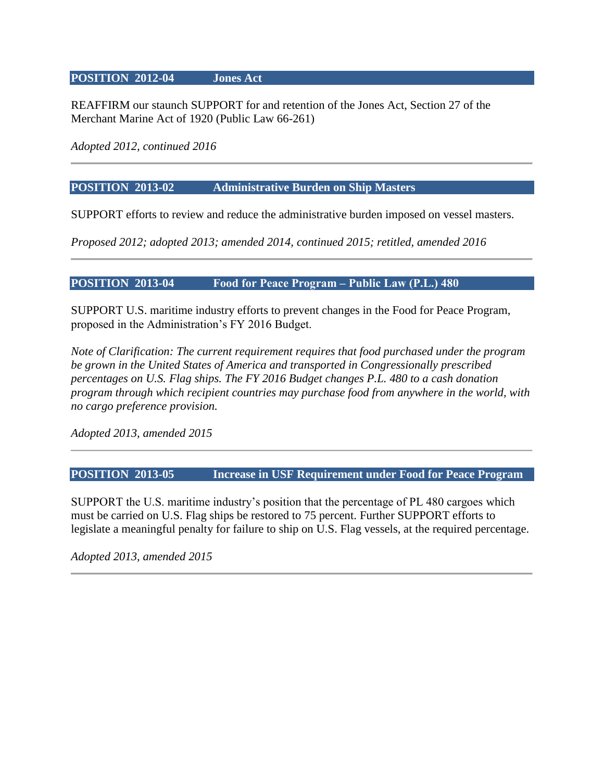#### **POSITION 2012-04 Jones Act**

REAFFIRM our staunch SUPPORT for and retention of the Jones Act, Section 27 of the Merchant Marine Act of 1920 (Public Law 66-261)

*Adopted 2012, continued 2016*

#### **POSITION 2013-02 Administrative Burden on Ship Masters**

SUPPORT efforts to review and reduce the administrative burden imposed on vessel masters.

*Proposed 2012; adopted 2013; amended 2014, continued 2015; retitled, amended 2016*

## **POSITION 2013-04 Food for Peace Program ‒ Public Law (P.L.) 480**

SUPPORT U.S. maritime industry efforts to prevent changes in the Food for Peace Program, proposed in the Administration's FY 2016 Budget.

*Note of Clarification: The current requirement requires that food purchased under the program be grown in the United States of America and transported in Congressionally prescribed percentages on U.S. Flag ships. The FY 2016 Budget changes P.L. 480 to a cash donation program through which recipient countries may purchase food from anywhere in the world, with no cargo preference provision.*

*Adopted 2013, amended 2015*

**POSITION 2013-05 Increase in USF Requirement under Food for Peace Program**

SUPPORT the U.S. maritime industry's position that the percentage of PL 480 cargoes which must be carried on U.S. Flag ships be restored to 75 percent. Further SUPPORT efforts to legislate a meaningful penalty for failure to ship on U.S. Flag vessels, at the required percentage.

*Adopted 2013, amended 2015*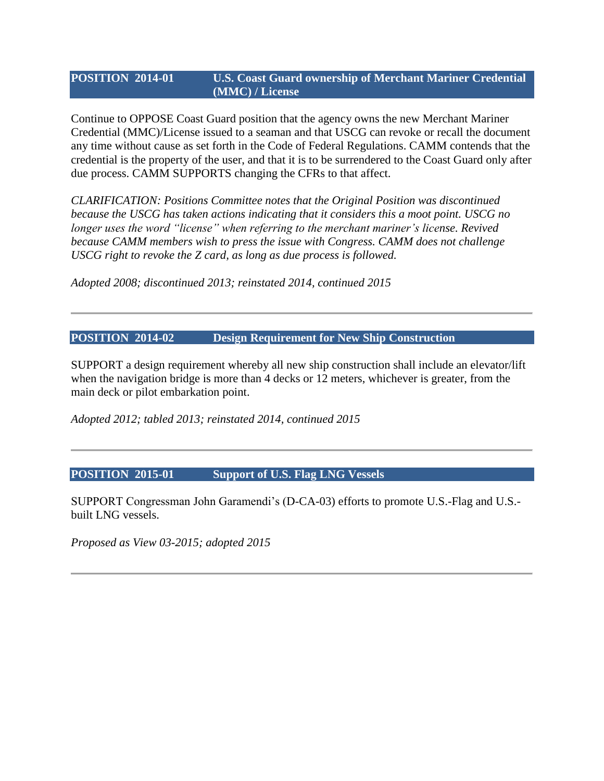#### **POSITION 2014-01 U.S. Coast Guard ownership of Merchant Mariner Credential (MMC) / License**

Continue to OPPOSE Coast Guard position that the agency owns the new Merchant Mariner Credential (MMC)/License issued to a seaman and that USCG can revoke or recall the document any time without cause as set forth in the Code of Federal Regulations. CAMM contends that the credential is the property of the user, and that it is to be surrendered to the Coast Guard only after due process. CAMM SUPPORTS changing the CFRs to that affect.

*CLARIFICATION: Positions Committee notes that the Original Position was discontinued because the USCG has taken actions indicating that it considers this a moot point. USCG no longer uses the word "license" when referring to the merchant mariner's license. Revived because CAMM members wish to press the issue with Congress. CAMM does not challenge USCG right to revoke the Z card, as long as due process is followed.*

*Adopted 2008; discontinued 2013; reinstated 2014, continued 2015*

#### **POSITION 2014-02 Design Requirement for New Ship Construction**

SUPPORT a design requirement whereby all new ship construction shall include an elevator/lift when the navigation bridge is more than 4 decks or 12 meters, whichever is greater, from the main deck or pilot embarkation point.

*Adopted 2012; tabled 2013; reinstated 2014, continued 2015*

# **POSITION 2015-01 Support of U.S. Flag LNG Vessels**

SUPPORT Congressman John Garamendi's (D-CA-03) efforts to promote U.S.-Flag and U.S. built LNG vessels.

*Proposed as View 03-2015; adopted 2015*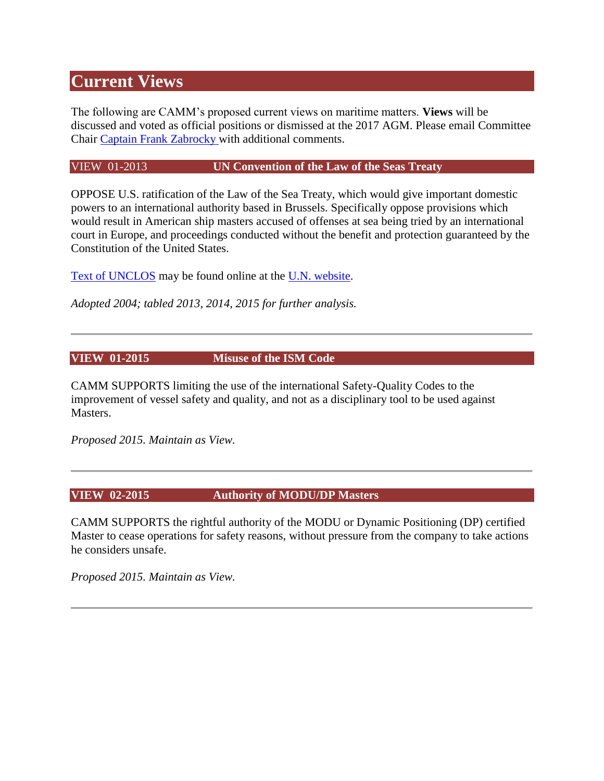# **Current Views**

The following are CAMM's proposed current views on maritime matters. **Views** will be discussed and voted as official positions or dismissed at the 2017 AGM. Please email Committee Chair [Captain Frank Zabrocky w](http://www.mastermariner.org/positions/captzabrocky@mastermariner.org)ith additional comments.

#### VIEW 01-2013 **UN Convention of the Law of the Seas Treaty**

OPPOSE U.S. ratification of the Law of the Sea Treaty, which would give important domestic powers to an international authority based in Brussels. Specifically oppose provisions which would result in American ship masters accused of offenses at sea being tried by an international court in Europe, and proceedings conducted without the benefit and protection guaranteed by the Constitution of the United States.

[Text of UNCLOS](http://www.un.org/depts/los/convention_agreements/texts/unclos/unclos_e.pdf) may be found online at the [U.N. website.](http://www.un.org/Depts/los/index.htm)

*Adopted 2004; tabled 2013, 2014, 2015 for further analysis.*

**VIEW 01-2015 Misuse of the ISM Code**

CAMM SUPPORTS limiting the use of the international Safety-Quality Codes to the improvement of vessel safety and quality, and not as a disciplinary tool to be used against **Masters** 

*Proposed 2015. Maintain as View.*

# **VIEW 02-2015 Authority of MODU/DP Masters**

CAMM SUPPORTS the rightful authority of the MODU or Dynamic Positioning (DP) certified Master to cease operations for safety reasons, without pressure from the company to take actions he considers unsafe.

*Proposed 2015. Maintain as View.*